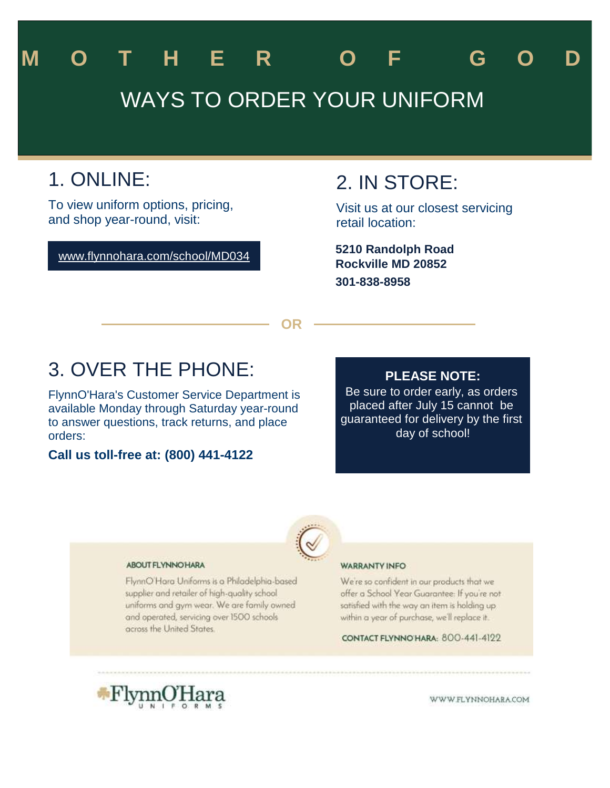# WAYS TO ORDER YOUR UNIFORM **M O T H E R O F G O D**

# 1. ONLINE:

To view uniform options, pricing, and shop year-round, visit:

#### www.flynnohara.com/school/MD034

## 2. IN STORE:

Visit us at our closest servicing retail location:

**Rockville MD 20852 301-838-8958 5210 Randolph Road**

**OR**

# 3. OVER THE PHONE:

FlynnO'Hara's Customer Service Department is available Monday through Saturday year-round to answer questions, track returns, and place orders:

#### **Call us toll-free at: (800) 441-4122**

#### **PLEASE NOTE:**

Be sure to order early, as orders placed after July 15 cannot be guaranteed for delivery by the first day of school!



#### **ABOUT FLYNNOHARA**

FlynnO'Hara Uniforms is a Philadelphia-based supplier and retailer of high-quality school uniforms and gym wear. We are family owned and operated, servicing over 1500 schools across the United States.

#### **WARRANTY INFO**

We're so confident in our products that we offer a School Year Guarantee: If you're not satisfied with the way an item is holding up within a year of purchase, we'll replace it.

CONTACT FLYNNO HARA: 800-441-4122



WWW.FLYNNOHARA.COM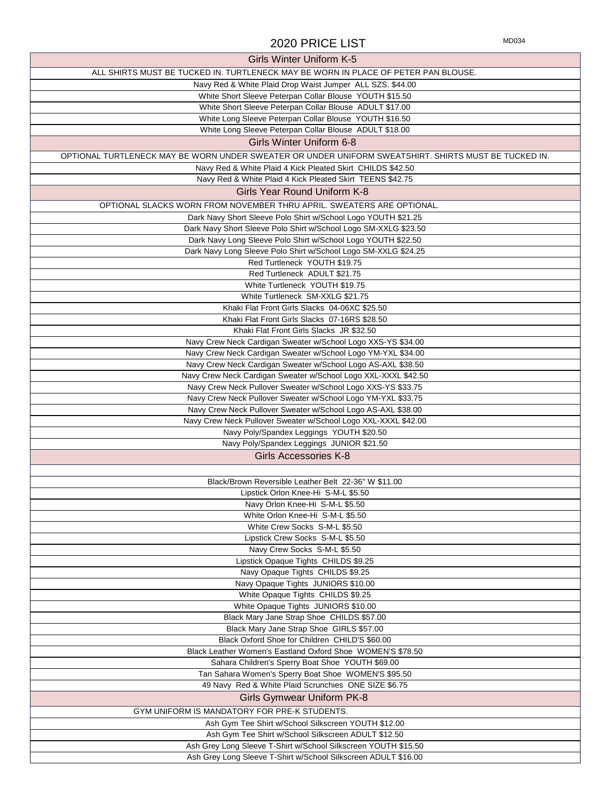### 2020 PRICE LIST MD034

| <b>Girls Winter Uniform K-5</b>                                                                                              |
|------------------------------------------------------------------------------------------------------------------------------|
| ALL SHIRTS MUST BE TUCKED IN. TURTLENECK MAY BE WORN IN PLACE OF PETER PAN BLOUSE.                                           |
| Navy Red & White Plaid Drop Waist Jumper ALL SZS. \$44.00                                                                    |
| White Short Sleeve Peterpan Collar Blouse YOUTH \$15.50                                                                      |
| White Short Sleeve Peterpan Collar Blouse ADULT \$17.00                                                                      |
| White Long Sleeve Peterpan Collar Blouse YOUTH \$16.50                                                                       |
| White Long Sleeve Peterpan Collar Blouse ADULT \$18.00                                                                       |
| Girls Winter Uniform 6-8                                                                                                     |
| OPTIONAL TURTLENECK MAY BE WORN UNDER SWEATER OR UNDER UNIFORM SWEATSHIRT. SHIRTS MUST BE TUCKED IN.                         |
| Navy Red & White Plaid 4 Kick Pleated Skirt CHILDS \$42.50                                                                   |
| Navy Red & White Plaid 4 Kick Pleated Skirt TEENS \$42.75                                                                    |
| Girls Year Round Uniform K-8                                                                                                 |
| OPTIONAL SLACKS WORN FROM NOVEMBER THRU APRIL. SWEATERS ARE OPTIONAL.                                                        |
| Dark Navy Short Sleeve Polo Shirt w/School Logo YOUTH \$21.25                                                                |
| Dark Navy Short Sleeve Polo Shirt w/School Logo SM-XXLG \$23.50                                                              |
| Dark Navy Long Sleeve Polo Shirt w/School Logo YOUTH \$22.50                                                                 |
| Dark Navy Long Sleeve Polo Shirt w/School Logo SM-XXLG \$24.25                                                               |
| Red Turtleneck YOUTH \$19.75                                                                                                 |
| Red Turtleneck ADULT \$21.75                                                                                                 |
| White Turtleneck YOUTH \$19.75                                                                                               |
| White Turtleneck SM-XXLG \$21.75                                                                                             |
| Khaki Flat Front Girls Slacks 04-06XC \$25.50                                                                                |
| Khaki Flat Front Girls Slacks 07-16RS \$28.50                                                                                |
| Khaki Flat Front Girls Slacks JR \$32.50                                                                                     |
| Navy Crew Neck Cardigan Sweater w/School Logo XXS-YS \$34.00                                                                 |
| Navy Crew Neck Cardigan Sweater w/School Logo YM-YXL \$34.00<br>Navy Crew Neck Cardigan Sweater w/School Logo AS-AXL \$38.50 |
| Navy Crew Neck Cardigan Sweater w/School Logo XXL-XXXL \$42.50                                                               |
| Navy Crew Neck Pullover Sweater w/School Logo XXS-YS \$33.75                                                                 |
| Navy Crew Neck Pullover Sweater w/School Logo YM-YXL \$33.75                                                                 |
| Navy Crew Neck Pullover Sweater w/School Logo AS-AXL \$38.00                                                                 |
| Navy Crew Neck Pullover Sweater w/School Logo XXL-XXXL \$42.00                                                               |
| Navy Poly/Spandex Leggings YOUTH \$20.50                                                                                     |
| Navy Poly/Spandex Leggings JUNIOR \$21.50                                                                                    |
| <b>Girls Accessories K-8</b>                                                                                                 |
|                                                                                                                              |
| Black/Brown Reversible Leather Belt 22-36" W \$11.00                                                                         |
| Lipstick Orlon Knee-Hi S-M-L \$5.50                                                                                          |
| Navy Orlon Knee-Hi S-M-L \$5.50                                                                                              |
| White Orlon Knee-Hi S-M-L \$5.50                                                                                             |
| White Crew Socks S-M-L \$5.50                                                                                                |
| Lipstick Crew Socks S-M-L \$5.50                                                                                             |
| Navy Crew Socks S-M-L \$5.50                                                                                                 |
| Lipstick Opaque Tights CHILDS \$9.25                                                                                         |
| Navy Opaque Tights CHILDS \$9.25                                                                                             |
| Navy Opaque Tights JUNIORS \$10.00                                                                                           |
| White Opaque Tights CHILDS \$9.25<br>White Opaque Tights JUNIORS \$10.00                                                     |
| Black Mary Jane Strap Shoe CHILDS \$57.00                                                                                    |
| Black Mary Jane Strap Shoe GIRLS \$57.00                                                                                     |
| Black Oxford Shoe for Children CHILD'S \$60.00                                                                               |
| Black Leather Women's Eastland Oxford Shoe WOMEN'S \$78.50                                                                   |
| Sahara Children's Sperry Boat Shoe YOUTH \$69.00                                                                             |
| Tan Sahara Women's Sperry Boat Shoe WOMEN'S \$95.50                                                                          |
| 49 Navy Red & White Plaid Scrunchies ONE SIZE \$6.75                                                                         |
| <b>Girls Gymwear Uniform PK-8</b>                                                                                            |
| GYM UNIFORM IS MANDATORY FOR PRE-K STUDENTS.                                                                                 |
| Ash Gym Tee Shirt w/School Silkscreen YOUTH \$12.00                                                                          |
| Ash Gym Tee Shirt w/School Silkscreen ADULT \$12.50                                                                          |
| Ash Grey Long Sleeve T-Shirt w/School Silkscreen YOUTH \$15.50                                                               |
| Ash Grey Long Sleeve T-Shirt w/School Silkscreen ADULT \$16.00                                                               |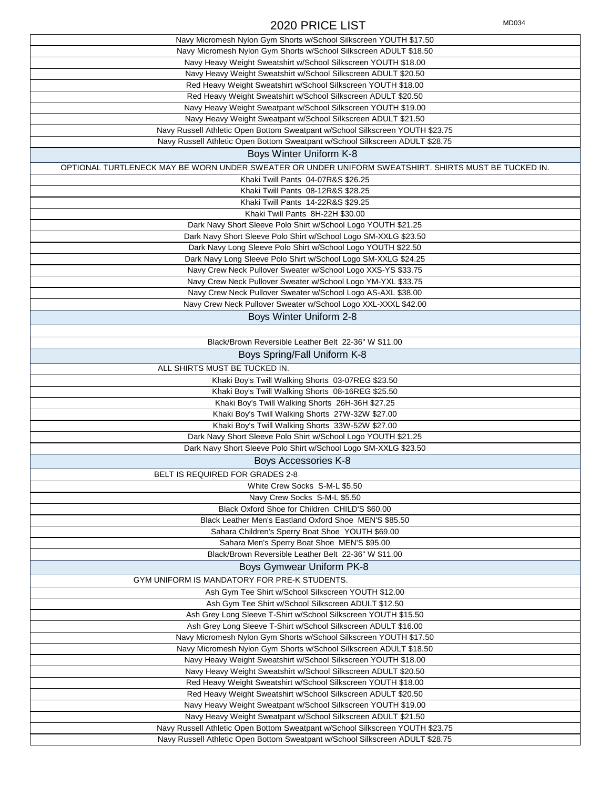### 2020 PRICE LIST MD034

| Navy Micromesh Nylon Gym Shorts w/School Silkscreen YOUTH \$17.50                                                              |
|--------------------------------------------------------------------------------------------------------------------------------|
| Navy Micromesh Nylon Gym Shorts w/School Silkscreen ADULT \$18.50                                                              |
| Navy Heavy Weight Sweatshirt w/School Silkscreen YOUTH \$18.00                                                                 |
| Navy Heavy Weight Sweatshirt w/School Silkscreen ADULT \$20.50                                                                 |
| Red Heavy Weight Sweatshirt w/School Silkscreen YOUTH \$18.00                                                                  |
| Red Heavy Weight Sweatshirt w/School Silkscreen ADULT \$20.50                                                                  |
| Navy Heavy Weight Sweatpant w/School Silkscreen YOUTH \$19.00                                                                  |
| Navy Heavy Weight Sweatpant w/School Silkscreen ADULT \$21.50                                                                  |
| Navy Russell Athletic Open Bottom Sweatpant w/School Silkscreen YOUTH \$23.75                                                  |
| Navy Russell Athletic Open Bottom Sweatpant w/School Silkscreen ADULT \$28.75                                                  |
| Boys Winter Uniform K-8                                                                                                        |
| OPTIONAL TURTLENECK MAY BE WORN UNDER SWEATER OR UNDER UNIFORM SWEATSHIRT. SHIRTS MUST BE TUCKED IN.                           |
| Khaki Twill Pants 04-07R&S \$26.25                                                                                             |
| Khaki Twill Pants 08-12R&S \$28.25                                                                                             |
| Khaki Twill Pants 14-22R&S \$29.25                                                                                             |
| Khaki Twill Pants 8H-22H \$30.00                                                                                               |
| Dark Navy Short Sleeve Polo Shirt w/School Logo YOUTH \$21.25                                                                  |
| Dark Navy Short Sleeve Polo Shirt w/School Logo SM-XXLG \$23.50                                                                |
| Dark Navy Long Sleeve Polo Shirt w/School Logo YOUTH \$22.50                                                                   |
|                                                                                                                                |
| Dark Navy Long Sleeve Polo Shirt w/School Logo SM-XXLG \$24.25<br>Navy Crew Neck Pullover Sweater w/School Logo XXS-YS \$33.75 |
|                                                                                                                                |
| Navy Crew Neck Pullover Sweater w/School Logo YM-YXL \$33.75                                                                   |
| Navy Crew Neck Pullover Sweater w/School Logo AS-AXL \$38.00                                                                   |
| Navy Crew Neck Pullover Sweater w/School Logo XXL-XXXL \$42.00                                                                 |
| Boys Winter Uniform 2-8                                                                                                        |
|                                                                                                                                |
| Black/Brown Reversible Leather Belt 22-36" W \$11.00                                                                           |
| Boys Spring/Fall Uniform K-8                                                                                                   |
| ALL SHIRTS MUST BE TUCKED IN.                                                                                                  |
| Khaki Boy's Twill Walking Shorts 03-07REG \$23.50                                                                              |
| Khaki Boy's Twill Walking Shorts 08-16REG \$25.50                                                                              |
| Khaki Boy's Twill Walking Shorts 26H-36H \$27.25                                                                               |
| Khaki Boy's Twill Walking Shorts 27W-32W \$27.00                                                                               |
| Khaki Boy's Twill Walking Shorts 33W-52W \$27.00                                                                               |
| Dark Navy Short Sleeve Polo Shirt w/School Logo YOUTH \$21.25                                                                  |
| Dark Navy Short Sleeve Polo Shirt w/School Logo SM-XXLG \$23.50                                                                |
| Boys Accessories K-8                                                                                                           |
|                                                                                                                                |
| BELT IS REQUIRED FOR GRADES 2-8                                                                                                |
| White Crew Socks S-M-L \$5.50                                                                                                  |
| Navy Crew Socks S-M-L \$5.50                                                                                                   |
| Black Oxford Shoe for Children CHILD'S \$60.00                                                                                 |
| Black Leather Men's Eastland Oxford Shoe MEN'S \$85.50                                                                         |
| Sahara Children's Sperry Boat Shoe YOUTH \$69.00                                                                               |
| Sahara Men's Sperry Boat Shoe MEN'S \$95.00                                                                                    |
| Black/Brown Reversible Leather Belt 22-36" W \$11.00                                                                           |
| Boys Gymwear Uniform PK-8                                                                                                      |
| GYM UNIFORM IS MANDATORY FOR PRE-K STUDENTS.                                                                                   |
| Ash Gym Tee Shirt w/School Silkscreen YOUTH \$12.00                                                                            |
| Ash Gym Tee Shirt w/School Silkscreen ADULT \$12.50                                                                            |
| Ash Grey Long Sleeve T-Shirt w/School Silkscreen YOUTH \$15.50                                                                 |
| Ash Grey Long Sleeve T-Shirt w/School Silkscreen ADULT \$16.00                                                                 |
| Navy Micromesh Nylon Gym Shorts w/School Silkscreen YOUTH \$17.50                                                              |
| Navy Micromesh Nylon Gym Shorts w/School Silkscreen ADULT \$18.50                                                              |
| Navy Heavy Weight Sweatshirt w/School Silkscreen YOUTH \$18.00                                                                 |
| Navy Heavy Weight Sweatshirt w/School Silkscreen ADULT \$20.50                                                                 |
| Red Heavy Weight Sweatshirt w/School Silkscreen YOUTH \$18.00                                                                  |
| Red Heavy Weight Sweatshirt w/School Silkscreen ADULT \$20.50                                                                  |
| Navy Heavy Weight Sweatpant w/School Silkscreen YOUTH \$19.00                                                                  |
| Navy Heavy Weight Sweatpant w/School Silkscreen ADULT \$21.50                                                                  |
| Navy Russell Athletic Open Bottom Sweatpant w/School Silkscreen YOUTH \$23.75                                                  |
| Navy Russell Athletic Open Bottom Sweatpant w/School Silkscreen ADULT \$28.75                                                  |
|                                                                                                                                |